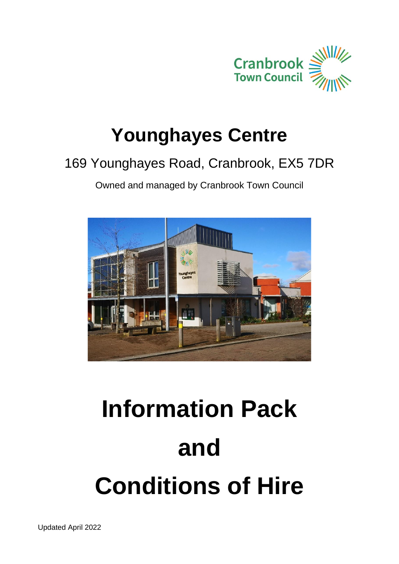

## **Younghayes Centre**

### 169 Younghayes Road, Cranbrook, EX5 7DR

Owned and managed by Cranbrook Town Council



# **Information Pack and Conditions of Hire**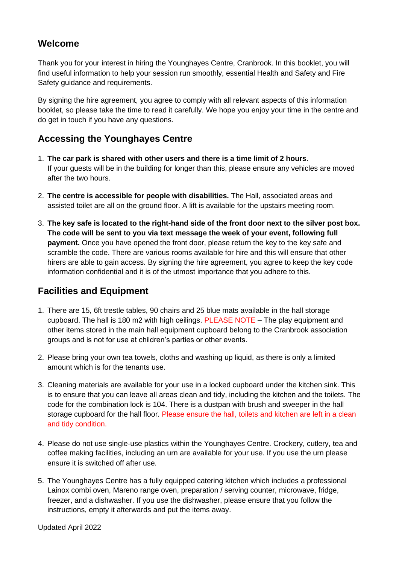#### **Welcome**

Thank you for your interest in hiring the Younghayes Centre, Cranbrook. In this booklet, you will find useful information to help your session run smoothly, essential Health and Safety and Fire Safety guidance and requirements.

By signing the hire agreement, you agree to comply with all relevant aspects of this information booklet, so please take the time to read it carefully. We hope you enjoy your time in the centre and do get in touch if you have any questions.

#### **Accessing the Younghayes Centre**

- 1. **The car park is shared with other users and there is a time limit of 2 hours**. If your guests will be in the building for longer than this, please ensure any vehicles are moved after the two hours.
- 2. **The centre is accessible for people with disabilities.** The Hall, associated areas and assisted toilet are all on the ground floor. A lift is available for the upstairs meeting room.
- 3. **The key safe is located to the right-hand side of the front door next to the silver post box. The code will be sent to you via text message the week of your event, following full payment.** Once you have opened the front door, please return the key to the key safe and scramble the code. There are various rooms available for hire and this will ensure that other hirers are able to gain access. By signing the hire agreement, you agree to keep the key code information confidential and it is of the utmost importance that you adhere to this.

#### **Facilities and Equipment**

- 1. There are 15, 6ft trestle tables, 90 chairs and 25 blue mats available in the hall storage cupboard. The hall is 180 m2 with high ceilings. PLEASE NOTE – The play equipment and other items stored in the main hall equipment cupboard belong to the Cranbrook association groups and is not for use at children's parties or other events.
- 2. Please bring your own tea towels, cloths and washing up liquid, as there is only a limited amount which is for the tenants use.
- 3. Cleaning materials are available for your use in a locked cupboard under the kitchen sink. This is to ensure that you can leave all areas clean and tidy, including the kitchen and the toilets. The code for the combination lock is 104. There is a dustpan with brush and sweeper in the hall storage cupboard for the hall floor. Please ensure the hall, toilets and kitchen are left in a clean and tidy condition.
- 4. Please do not use single-use plastics within the Younghayes Centre. Crockery, cutlery, tea and coffee making facilities, including an urn are available for your use. If you use the urn please ensure it is switched off after use.
- 5. The Younghayes Centre has a fully equipped catering kitchen which includes a professional Lainox combi oven, Mareno range oven, preparation / serving counter, microwave, fridge, freezer, and a dishwasher. If you use the dishwasher, please ensure that you follow the instructions, empty it afterwards and put the items away.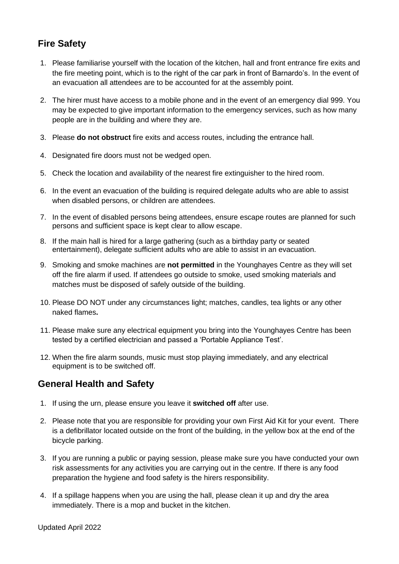#### **Fire Safety**

- 1. Please familiarise yourself with the location of the kitchen, hall and front entrance fire exits and the fire meeting point, which is to the right of the car park in front of Barnardo's. In the event of an evacuation all attendees are to be accounted for at the assembly point.
- 2. The hirer must have access to a mobile phone and in the event of an emergency dial 999. You may be expected to give important information to the emergency services, such as how many people are in the building and where they are.
- 3. Please **do not obstruct** fire exits and access routes, including the entrance hall.
- 4. Designated fire doors must not be wedged open.
- 5. Check the location and availability of the nearest fire extinguisher to the hired room.
- 6. In the event an evacuation of the building is required delegate adults who are able to assist when disabled persons, or children are attendees.
- 7. In the event of disabled persons being attendees, ensure escape routes are planned for such persons and sufficient space is kept clear to allow escape.
- 8. If the main hall is hired for a large gathering (such as a birthday party or seated entertainment), delegate sufficient adults who are able to assist in an evacuation.
- 9. Smoking and smoke machines are **not permitted** in the Younghayes Centre as they will set off the fire alarm if used. If attendees go outside to smoke, used smoking materials and matches must be disposed of safely outside of the building.
- 10. Please DO NOT under any circumstances light; matches, candles, tea lights or any other naked flames**.**
- 11. Please make sure any electrical equipment you bring into the Younghayes Centre has been tested by a certified electrician and passed a 'Portable Appliance Test'.
- 12. When the fire alarm sounds, music must stop playing immediately, and any electrical equipment is to be switched off.

#### **General Health and Safety**

- 1. If using the urn, please ensure you leave it **switched off** after use.
- 2. Please note that you are responsible for providing your own First Aid Kit for your event. There is a defibrillator located outside on the front of the building, in the yellow box at the end of the bicycle parking.
- 3. If you are running a public or paying session, please make sure you have conducted your own risk assessments for any activities you are carrying out in the centre. If there is any food preparation the hygiene and food safety is the hirers responsibility.
- 4. If a spillage happens when you are using the hall, please clean it up and dry the area immediately. There is a mop and bucket in the kitchen.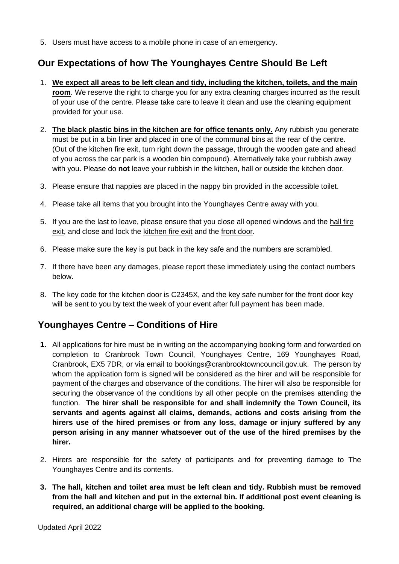5. Users must have access to a mobile phone in case of an emergency.

#### **Our Expectations of how The Younghayes Centre Should Be Left**

- 1. **We expect all areas to be left clean and tidy, including the kitchen, toilets, and the main room**. We reserve the right to charge you for any extra cleaning charges incurred as the result of your use of the centre. Please take care to leave it clean and use the cleaning equipment provided for your use.
- 2. **The black plastic bins in the kitchen are for office tenants only.** Any rubbish you generate must be put in a bin liner and placed in one of the communal bins at the rear of the centre. (Out of the kitchen fire exit, turn right down the passage, through the wooden gate and ahead of you across the car park is a wooden bin compound). Alternatively take your rubbish away with you. Please do **not** leave your rubbish in the kitchen, hall or outside the kitchen door.
- 3. Please ensure that nappies are placed in the nappy bin provided in the accessible toilet.
- 4. Please take all items that you brought into the Younghayes Centre away with you.
- 5. If you are the last to leave, please ensure that you close all opened windows and the hall fire exit, and close and lock the kitchen fire exit and the front door.
- 6. Please make sure the key is put back in the key safe and the numbers are scrambled.
- 7. If there have been any damages, please report these immediately using the contact numbers below.
- 8. The key code for the kitchen door is C2345X, and the key safe number for the front door key will be sent to you by text the week of your event after full payment has been made.

#### **Younghayes Centre – Conditions of Hire**

- **1.** All applications for hire must be in writing on the accompanying booking form and forwarded on completion to Cranbrook Town Council, Younghayes Centre, 169 Younghayes Road, Cranbrook, EX5 7DR, or via email to bookings@cranbrooktowncouncil.gov.uk. The person by whom the application form is signed will be considered as the hirer and will be responsible for payment of the charges and observance of the conditions. The hirer will also be responsible for securing the observance of the conditions by all other people on the premises attending the function. **The hirer shall be responsible for and shall indemnify the Town Council, its servants and agents against all claims, demands, actions and costs arising from the hirers use of the hired premises or from any loss, damage or injury suffered by any person arising in any manner whatsoever out of the use of the hired premises by the hirer.**
- 2. Hirers are responsible for the safety of participants and for preventing damage to The Younghayes Centre and its contents.
- **3. The hall, kitchen and toilet area must be left clean and tidy. Rubbish must be removed from the hall and kitchen and put in the external bin. If additional post event cleaning is required, an additional charge will be applied to the booking.**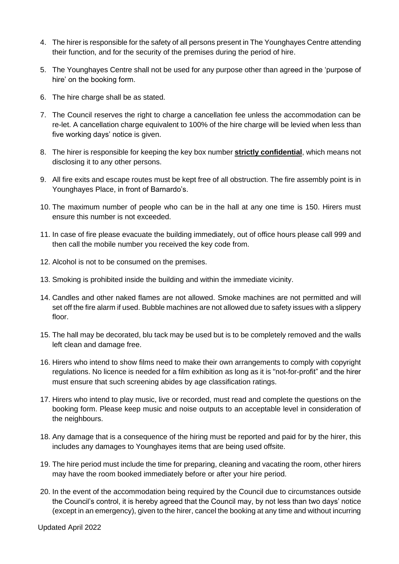- 4. The hirer is responsible for the safety of all persons present in The Younghayes Centre attending their function, and for the security of the premises during the period of hire.
- 5. The Younghayes Centre shall not be used for any purpose other than agreed in the 'purpose of hire' on the booking form.
- 6. The hire charge shall be as stated.
- 7. The Council reserves the right to charge a cancellation fee unless the accommodation can be re-let. A cancellation charge equivalent to 100% of the hire charge will be levied when less than five working days' notice is given.
- 8. The hirer is responsible for keeping the key box number **strictly confidential**, which means not disclosing it to any other persons.
- 9. All fire exits and escape routes must be kept free of all obstruction. The fire assembly point is in Younghayes Place, in front of Barnardo's.
- 10. The maximum number of people who can be in the hall at any one time is 150. Hirers must ensure this number is not exceeded.
- 11. In case of fire please evacuate the building immediately, out of office hours please call 999 and then call the mobile number you received the key code from.
- 12. Alcohol is not to be consumed on the premises.
- 13. Smoking is prohibited inside the building and within the immediate vicinity.
- 14. Candles and other naked flames are not allowed. Smoke machines are not permitted and will set off the fire alarm if used. Bubble machines are not allowed due to safety issues with a slippery floor.
- 15. The hall may be decorated, blu tack may be used but is to be completely removed and the walls left clean and damage free.
- 16. Hirers who intend to show films need to make their own arrangements to comply with copyright regulations. No licence is needed for a film exhibition as long as it is "not-for-profit" and the hirer must ensure that such screening abides by age classification ratings.
- 17. Hirers who intend to play music, live or recorded, must read and complete the questions on the booking form. Please keep music and noise outputs to an acceptable level in consideration of the neighbours.
- 18. Any damage that is a consequence of the hiring must be reported and paid for by the hirer, this includes any damages to Younghayes items that are being used offsite.
- 19. The hire period must include the time for preparing, cleaning and vacating the room, other hirers may have the room booked immediately before or after your hire period.
- 20. In the event of the accommodation being required by the Council due to circumstances outside the Council's control, it is hereby agreed that the Council may, by not less than two days' notice (except in an emergency), given to the hirer, cancel the booking at any time and without incurring